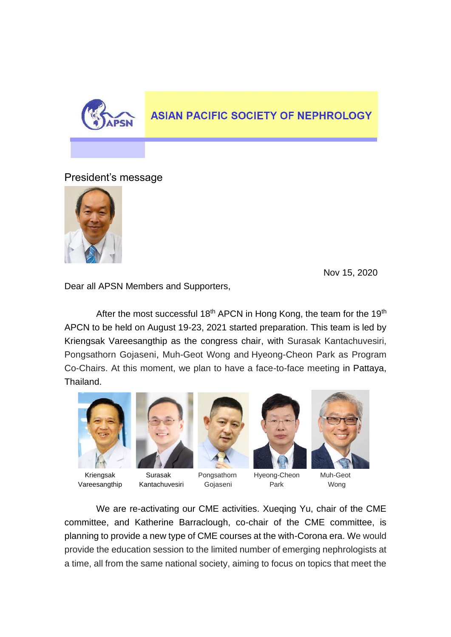

## **ASIAN PACIFIC SOCIETY OF NEPHROLOGY**

President's message



Nov 15, 2020

Dear all APSN Members and Supporters,

After the most successful 18<sup>th</sup> APCN in Hong Kong, the team for the 19<sup>th</sup> APCN to be held on August 19-23, 2021 started preparation. This team is led by Kriengsak Vareesangthip as the congress chair, with Surasak Kantachuvesiri, Pongsathorn Gojaseni, Muh-Geot Wong and Hyeong-Cheon Park as Program Co-Chairs. At this moment, we plan to have a face-to-face meeting in Pattaya, Thailand.





Kriengsak Surasak Pongsathorn Hyeong-Cheon Muh-Geot Vareesangthip Kantachuvesiri Gojaseni Park Wong







We are re-activating our CME activities. Xueqing Yu, chair of the CME committee, and Katherine Barraclough, co-chair of the CME committee, is planning to provide a new type of CME courses at the with-Corona era. We would provide the education session to the limited number of emerging nephrologists at a time, all from the same national society, aiming to focus on topics that meet the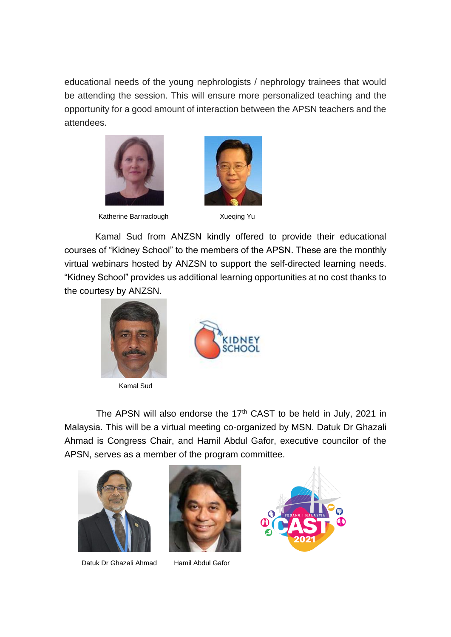educational needs of the young nephrologists / nephrology trainees that would be attending the session. This will ensure more personalized teaching and the opportunity for a good amount of interaction between the APSN teachers and the attendees.



Katherine Barrraclough Xueqing Yu



Kamal Sud from ANZSN kindly offered to provide their educational courses of "Kidney School" to the members of the APSN. These are the monthly virtual webinars hosted by ANZSN to support the self-directed learning needs. "Kidney School" provides us additional learning opportunities at no cost thanks to the courtesy by ANZSN.



Kamal Sud

 $\overline{a}$ 



The APSN will also endorse the 17<sup>th</sup> CAST to be held in July, 2021 in Malaysia. This will be a virtual meeting co-organized by MSN. Datuk Dr Ghazali Ahmad is Congress Chair, and Hamil Abdul Gafor, executive councilor of the APSN, serves as a member of the program committee.



Datuk Dr Ghazali Ahmad Hamil Abdul Gafor